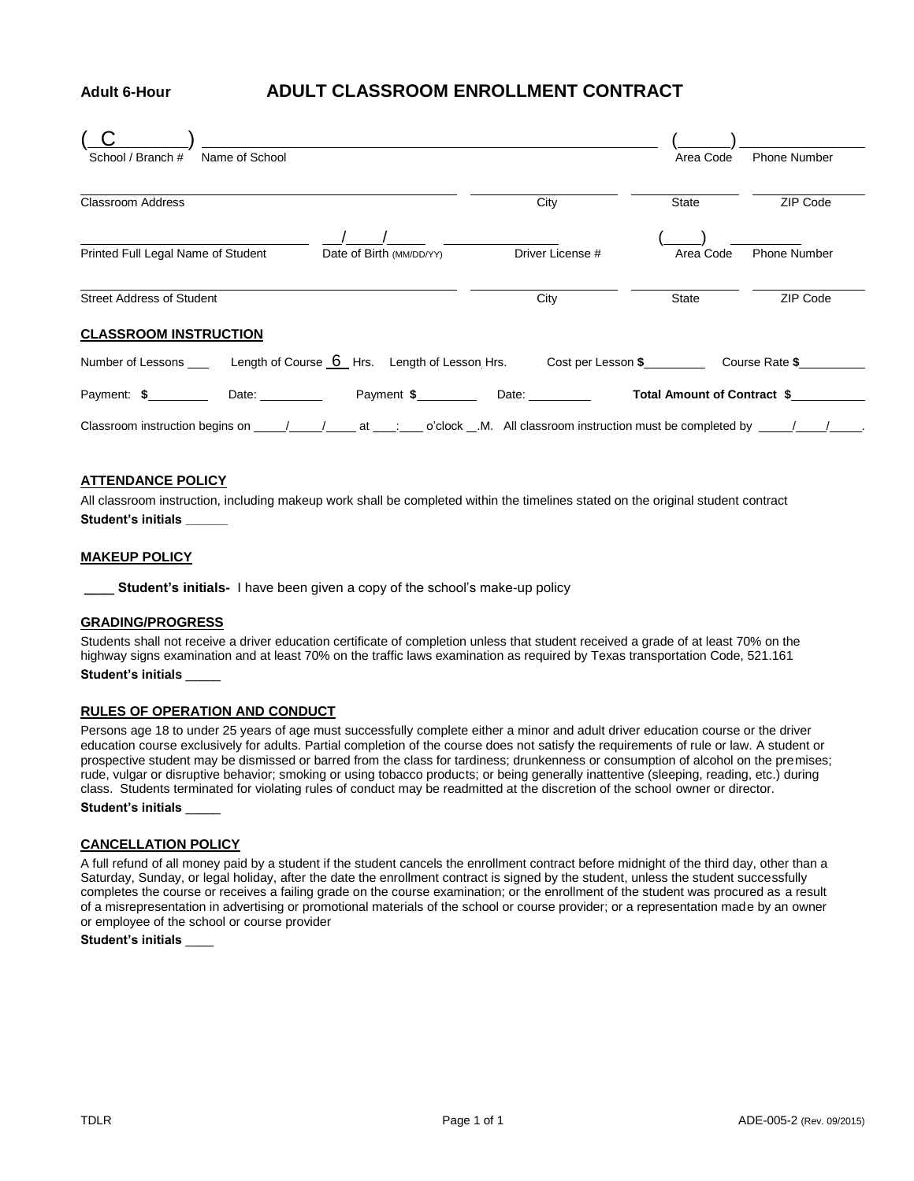# **Adult 6-Hour ADULT CLASSROOM ENROLLMENT CONTRACT**

| School / Branch #<br>Name of School                                                                                                                                                                                                                                                          |                  | Area Code    | <b>Phone Number</b> |
|----------------------------------------------------------------------------------------------------------------------------------------------------------------------------------------------------------------------------------------------------------------------------------------------|------------------|--------------|---------------------|
|                                                                                                                                                                                                                                                                                              |                  |              |                     |
| <b>Classroom Address</b>                                                                                                                                                                                                                                                                     | City             | <b>State</b> | ZIP Code            |
|                                                                                                                                                                                                                                                                                              |                  |              |                     |
| Printed Full Legal Name of Student<br>Date of Birth (MM/DD/YY)                                                                                                                                                                                                                               | Driver License # | Area Code    | <b>Phone Number</b> |
|                                                                                                                                                                                                                                                                                              |                  |              |                     |
| <b>Street Address of Student</b>                                                                                                                                                                                                                                                             | City             | State        | ZIP Code            |
| <b>CLASSROOM INSTRUCTION</b>                                                                                                                                                                                                                                                                 |                  |              |                     |
| Number of Lessons _____ Length of Course 6 Hrs. Length of Lesson Hrs. Cost per Lesson \$_________ Course Rate \$_______                                                                                                                                                                      |                  |              |                     |
| Date: and the state of the state of the state of the state of the state of the state of the state of the state<br>Payment \$<br>Date: and the state of the state of the state of the state of the state of the state of the state of the state<br>Total Amount of Contract \$<br>Payment: \$ |                  |              |                     |
| Classroom instruction begins on $\qquad$ / at : o'clock M. All classroom instruction must be completed by / / .                                                                                                                                                                              |                  |              |                     |

## **ATTENDANCE POLICY**

All classroom instruction, including makeup work shall be completed within the timelines stated on the original student contract **Student's initials \_\_\_\_\_\_**

#### **MAKEUP POLICY**

**\_\_\_\_ Student's initials-** I have been given a copy of the school's make-up policy

#### **GRADING/PROGRESS**

Students shall not receive a driver education certificate of completion unless that student received a grade of at least 70% on the highway signs examination and at least 70% on the traffic laws examination as required by Texas transportation Code, 521.161 **Student's initials** \_\_\_\_\_

#### **RULES OF OPERATION AND CONDUCT**

Persons age 18 to under 25 years of age must successfully complete either a minor and adult driver education course or the driver education course exclusively for adults. Partial completion of the course does not satisfy the requirements of rule or law. A student or prospective student may be dismissed or barred from the class for tardiness; drunkenness or consumption of alcohol on the premises; rude, vulgar or disruptive behavior; smoking or using tobacco products; or being generally inattentive (sleeping, reading, etc.) during class. Students terminated for violating rules of conduct may be readmitted at the discretion of the school owner or director. **Student's initials** \_\_\_\_\_

## **CANCELLATION POLICY**

A full refund of all money paid by a student if the student cancels the enrollment contract before midnight of the third day, other than a Saturday, Sunday, or legal holiday, after the date the enrollment contract is signed by the student, unless the student successfully completes the course or receives a failing grade on the course examination; or the enrollment of the student was procured as a result of a misrepresentation in advertising or promotional materials of the school or course provider; or a representation made by an owner or employee of the school or course provider

**Student's initials** \_\_\_\_